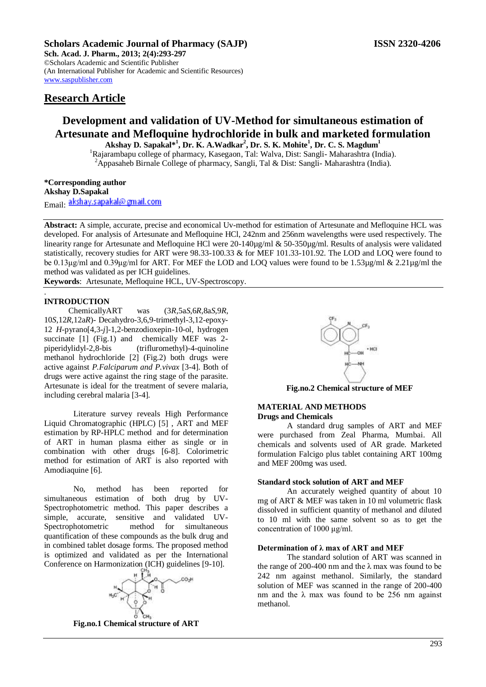## **Scholars Academic Journal of Pharmacy (SAJP) ISSN 2320-4206**

**Sch. Acad. J. Pharm., 2013; 2(4):293-297** ©Scholars Academic and Scientific Publisher (An International Publisher for Academic and Scientific Resources) [www.saspublisher.com](http://www.saspublisher.com/) 

## **Research Article**

# **Development and validation of UV-Method for simultaneous estimation of Artesunate and Mefloquine hydrochloride in bulk and marketed formulation**

**Akshay D. Sapakal\*<sup>1</sup> , Dr. K. A.Wadkar<sup>2</sup> , Dr. S. K. Mohite<sup>1</sup> , Dr. C. S. Magdum<sup>1</sup>** <sup>1</sup>Rajarambapu college of pharmacy, Kasegaon, Tal: Walva, Dist: Sangli- Maharashtra (India). <sup>2</sup>Appasaheb Birnale College of pharmacy, Sangli, Tal & Dist: Sangli- Maharashtra (India).

**\*Corresponding author Akshay D.Sapakal** Email: akshay.sapakal@gmail.com

**Abstract:** A simple, accurate, precise and economical Uv-method for estimation of Artesunate and Mefloquine HCL was developed. For analysis of Artesunate and Mefloquine HCl, 242nm and 256nm wavelengths were used respectively. The linearity range for Artesunate and Mefloquine HCl were 20-140µg/ml & 50-350µg/ml. Results of analysis were validated statistically, recovery studies for ART were 98.33-100.33 & for MEF 101.33-101.92. The LOD and LOQ were found to be 0.13μg/ml and 0.39μg/ml for ART. For MEF the LOD and LOQ values were found to be 1.53µg/ml & 2.21µg/ml the method was validated as per ICH guidelines.

**Keywords**: Artesunate, Mefloquine HCL, UV-Spectroscopy.

## **INTRODUCTION**

.

 ChemicallyART was (3*R*,5a*S*,6*R*,8a*S*,9*R*, 10*S*,12*R*,12a*R*)- Decahydro-3,6,9-trimethyl-3,12-epoxy-12 *H*-pyrano[4,3-*j*]-1,2-benzodioxepin-10-ol, hydrogen succinate [1] (Fig.1) and chemically MEF was 2piperidylidyl-2,8-bis (trifluromethyl)-4-quinoline methanol hydrochloride [2] (Fig.2) both drugs were active against *P.Falciparum and P.vivax* [3-4]. Both of drugs were active against the ring stage of the parasite. Artesunate is ideal for the treatment of severe malaria, including cerebral malaria [3-4].

Literature survey reveals High Performance Liquid Chromatographic (HPLC) [5] , ART and MEF estimation by RP-HPLC method and for determination of ART in human plasma either as single or in combination with other drugs [6-8]. Colorimetric method for estimation of ART is also reported with Amodiaquine [6].

No, method has been reported for simultaneous estimation of both drug by UV-Spectrophotometric method. This paper describes a simple, accurate, sensitive and validated UV-Spectrophotometric method for simultaneous quantification of these compounds as the bulk drug and in combined tablet dosage forms. The proposed method is optimized and validated as per the International Conference on Harmonization (ICH) guidelines [9-10].



**Fig.no.1 Chemical structure of ART**



**Fig.no.2 Chemical structure of MEF**

## **MATERIAL AND METHODS Drugs and Chemicals**

A standard drug samples of ART and MEF were purchased from Zeal Pharma, Mumbai. All chemicals and solvents used of AR grade. Marketed formulation Falcigo plus tablet containing ART 100mg and MEF 200mg was used.

#### **Standard stock solution of ART and MEF**

An accurately weighed quantity of about 10 mg of ART & MEF was taken in 10 ml volumetric flask dissolved in sufficient quantity of methanol and diluted to 10 ml with the same solvent so as to get the concentration of 1000 μg/ml.

#### **Determination of λ max of ART and MEF**

The standard solution of ART was scanned in the range of 200-400 nm and the  $\lambda$  max was found to be 242 nm against methanol. Similarly, the standard solution of MEF was scanned in the range of 200-400 nm and the  $\lambda$  max was found to be 256 nm against methanol.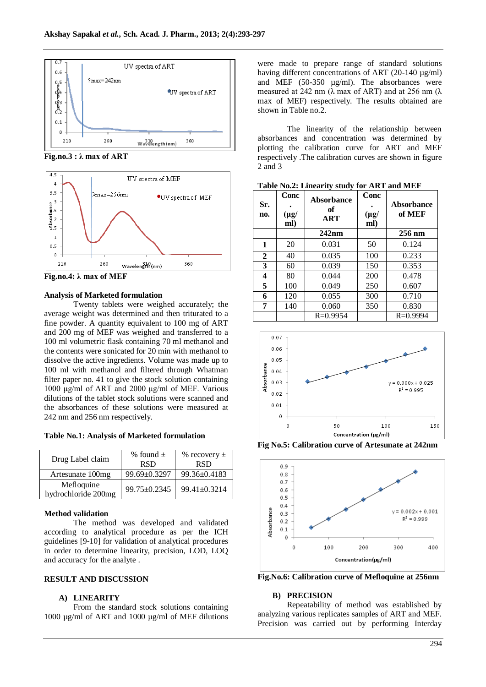

**Fig.no.3 : λ max of ART**



**Fig.no.4: λ max of MEF**

#### **Analysis of Marketed formulation**

Twenty tablets were weighed accurately; the average weight was determined and then triturated to a fine powder. A quantity equivalent to 100 mg of ART and 200 mg of MEF was weighed and transferred to a 100 ml volumetric flask containing 70 ml methanol and the contents were sonicated for 20 min with methanol to dissolve the active ingredients. Volume was made up to 100 ml with methanol and filtered through Whatman filter paper no. 41 to give the stock solution containing 1000 μg/ml of ART and 2000 μg/ml of MEF. Various dilutions of the tablet stock solutions were scanned and the absorbances of these solutions were measured at 242 nm and 256 nm respectively.

**Table No.1: Analysis of Marketed formulation**

| Drug Label claim                  | % found $\pm$<br><b>RSD</b> | % recovery $\pm$<br><b>RSD</b> |
|-----------------------------------|-----------------------------|--------------------------------|
| Artesunate 100mg                  | 99.69±0.3297                | $99.36 \pm 0.4183$             |
| Mefloquine<br>hydrochloride 200mg | 99.75±0.2345                | 99.41±0.3214                   |

## **Method validation**

The method was developed and validated according to analytical procedure as per the ICH guidelines [9-10] for validation of analytical procedures in order to determine linearity, precision, LOD, LOQ and accuracy for the analyte .

## **RESULT AND DISCUSSION**

#### **A) LINEARITY**

From the standard stock solutions containing 1000 µg/ml of ART and 1000 µg/ml of MEF dilutions were made to prepare range of standard solutions having different concentrations of ART (20-140 µg/ml) and MEF (50-350 µg/ml). The absorbances were measured at 242 nm ( $\lambda$  max of ART) and at 256 nm ( $\lambda$ ) max of MEF) respectively. The results obtained are shown in Table no.2.

The linearity of the relationship between absorbances and concentration was determined by plotting the calibration curve for ART and MEF respectively .The calibration curves are shown in figure 2 and 3

| Sr.<br>no. | Conc<br>$(\mu$ g/<br>ml) | Absorbance<br>of<br><b>ART</b> | Conc<br>$(\mu g)$<br>ml) | Absorbance<br>of MEF |
|------------|--------------------------|--------------------------------|--------------------------|----------------------|
|            |                          | 242nm                          |                          | $256$ nm             |
| 1          | 20                       | 0.031                          | 50                       | 0.124                |
| 2          | 40                       | 0.035                          | 100                      | 0.233                |
| 3          | 60                       | 0.039                          | 150                      | 0.353                |
| 4          | 80                       | 0.044                          | 200                      | 0.478                |
| 5          | 100                      | 0.049                          | 250                      | 0.607                |
| 6          | 120                      | 0.055                          | 300                      | 0.710                |
| 7          | 140                      | 0.060                          | 350                      | 0.830                |
|            |                          | $R = 0.9954$                   |                          | $R = 0.9994$         |

**Table No.2: Linearity study for ART and MEF**



**Fig No.5: Calibration curve of Artesunate at 242nm**



**Fig.No.6: Calibration curve of Mefloquine at 256nm**

### **B) PRECISION**

Repeatability of method was established by analyzing various replicates samples of ART and MEF. Precision was carried out by performing Interday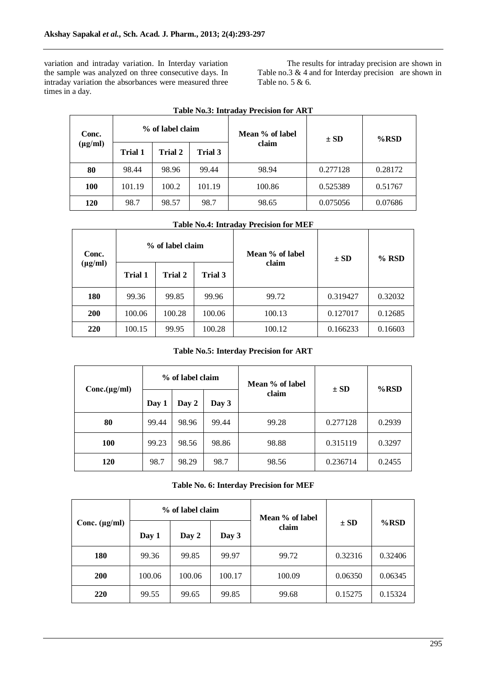variation and intraday variation. In Interday variation the sample was analyzed on three consecutive days. In intraday variation the absorbances were measured three times in a day.

The results for intraday precision are shown in Table no.3 & 4 and for Interday precision are shown in Table no. 5 & 6.

| Conc.        |                | % of label claim |         | Mean % of label | $\pm$ SD | $%$ RSD |
|--------------|----------------|------------------|---------|-----------------|----------|---------|
| $(\mu g/ml)$ | <b>Trial 1</b> | <b>Trial 2</b>   | Trial 3 | claim           |          |         |
| 80           | 98.44          | 98.96            | 99.44   | 98.94           | 0.277128 | 0.28172 |
| <b>100</b>   | 101.19         | 100.2            | 101.19  | 100.86          | 0.525389 | 0.51767 |
| 120          | 98.7           | 98.57            | 98.7    | 98.65           | 0.075056 | 0.07686 |

| <b>Table No.4: Intraday Precision for MEF</b> |  |  |
|-----------------------------------------------|--|--|
|                                               |  |  |

| Conc.        |                | % of label claim | Mean % of label<br>claim |        | $\pm$ SD | $%$ RSD |
|--------------|----------------|------------------|--------------------------|--------|----------|---------|
| $(\mu g/ml)$ | <b>Trial 1</b> | Trial 2          | Trial 3                  |        |          |         |
| 180          | 99.36          | 99.85            | 99.96                    | 99.72  | 0.319427 | 0.32032 |
| <b>200</b>   | 100.06         | 100.28           | 100.06                   | 100.13 | 0.127017 | 0.12685 |
| 220          | 100.15         | 99.95            | 100.28                   | 100.12 | 0.166233 | 0.16603 |

## **Table No.5: Interday Precision for ART**

| Conc.(µg/ml) | % of label claim |       |       | Mean % of label | $\pm$ SD | $%$ RSD |
|--------------|------------------|-------|-------|-----------------|----------|---------|
|              | Day 1            | Day 2 | Day 3 | claim           |          |         |
| 80           | 99.44            | 98.96 | 99.44 | 99.28           | 0.277128 | 0.2939  |
| <b>100</b>   | 99.23            | 98.56 | 98.86 | 98.88           | 0.315119 | 0.3297  |
| 120          | 98.7             | 98.29 | 98.7  | 98.56           | 0.236714 | 0.2455  |

**Table No. 6: Interday Precision for MEF**

|                    |        | % of label claim |        | Mean % of label |          |         |
|--------------------|--------|------------------|--------|-----------------|----------|---------|
| Conc. $(\mu g/ml)$ | Day 1  | Day 2            | Day 3  | claim           | $\pm$ SD | $%$ RSD |
| <b>180</b>         | 99.36  | 99.85            | 99.97  | 99.72           | 0.32316  | 0.32406 |
| <b>200</b>         | 100.06 | 100.06           | 100.17 | 100.09          | 0.06350  | 0.06345 |
| 220                | 99.55  | 99.65            | 99.85  | 99.68           | 0.15275  | 0.15324 |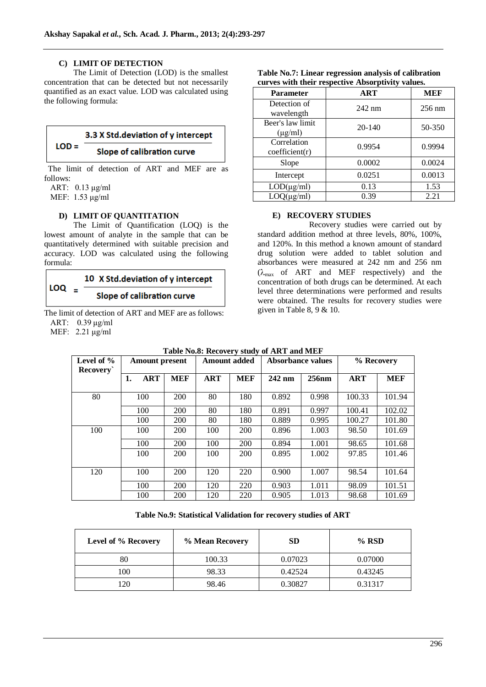## **C) LIMIT OF DETECTION**

The Limit of Detection (LOD) is the smallest concentration that can be detected but not necessarily quantified as an exact value. LOD was calculated using the following formula:

## 3.3 X Std.deviation of y intercept  $LOD =$

## **Slope of calibration curve**

The limit of detection of ART and MEF are as follows:

ART: 0.13 μg/ml

MEF: 1.53 μg/ml

## **D) LIMIT OF QUANTITATION**

The Limit of Quantification (LOQ) is the lowest amount of analyte in the sample that can be quantitatively determined with suitable precision and accuracy. LOD was calculated using the following formula:

## 10 X Std.deviation of y intercept  $LOQ =$ **Slope of calibration curve**

The limit of detection of ART and MEF are as follows: ART: 0.39 μg/ml

MEF: 2.21 μg/ml

| <b>Parameter</b>                 | ART        | <b>MEF</b>       |
|----------------------------------|------------|------------------|
| Detection of<br>wavelength       | $242$ nm   | $256 \text{ nm}$ |
| Beer's law limit<br>$(\mu g/ml)$ | $20 - 140$ | 50-350           |
| Correlation<br>coefficient(r)    | 0.9954     | 0.9994           |
| Slope                            | 0.0002     | 0.0024           |
| Intercept                        | 0.0251     | 0.0013           |
| $LOD(\mu g/ml)$                  | 0.13       | 1.53             |
| $LOQ(\mu g/ml)$                  | 0.39       | 2.21             |

#### **Table No.7: Linear regression analysis of calibration curves with their respective Absorptivity values.**

## **E) RECOVERY STUDIES**

Recovery studies were carried out by standard addition method at three levels, 80%, 100%, and 120%. In this method a known amount of standard drug solution were added to tablet solution and absorbances were measured at 242 nm and 256 nm  $(\lambda_{\text{max}}$  of ART and MEF respectively) and the concentration of both drugs can be determined. At each level three determinations were performed and results were obtained. The results for recovery studies were given in Table 8, 9 & 10.

| TADIC INGO. INCLUYERY SUGAY OF AINT AIRE IVELY |                       |            |                     |            |                          |          |            |            |
|------------------------------------------------|-----------------------|------------|---------------------|------------|--------------------------|----------|------------|------------|
| Level of $\%$<br><b>Recovery</b>               | <b>Amount present</b> |            | <b>Amount added</b> |            | <b>Absorbance values</b> |          | % Recovery |            |
|                                                | <b>ART</b><br>1.      | <b>MEF</b> | <b>ART</b>          | <b>MEF</b> | 242 nm                   | $256$ nm | <b>ART</b> | <b>MEF</b> |
| 80                                             | 100                   | <b>200</b> | 80                  | 180        | 0.892                    | 0.998    | 100.33     | 101.94     |
|                                                | 100                   | <b>200</b> | 80                  | 180        | 0.891                    | 0.997    | 100.41     | 102.02     |
|                                                | 100                   | <b>200</b> | 80                  | 180        | 0.889                    | 0.995    | 100.27     | 101.80     |
| 100                                            | 100                   | 200        | 100                 | <b>200</b> | 0.896                    | 1.003    | 98.50      | 101.69     |
|                                                | 100                   | 200        | 100                 | <b>200</b> | 0.894                    | 1.001    | 98.65      | 101.68     |
|                                                | 100                   | 200        | 100                 | <b>200</b> | 0.895                    | 1.002    | 97.85      | 101.46     |
| 120                                            | 100                   | 200        | 120                 | 220        | 0.900                    | 1.007    | 98.54      | 101.64     |
|                                                | 100                   | <b>200</b> | 120                 | 220        | 0.903                    | 1.011    | 98.09      | 101.51     |
|                                                | 100                   | 200        | 120                 | 220        | 0.905                    | 1.013    | 98.68      | 101.69     |

## **Table No.8: Recovery study of ART and MEF**

## **Table No.9: Statistical Validation for recovery studies of ART**

| Level of % Recovery | % Mean Recovery | <b>SD</b> | $%$ RSD |
|---------------------|-----------------|-----------|---------|
| 80                  | 100.33          | 0.07023   | 0.07000 |
| 100                 | 98.33           | 0.42524   | 0.43245 |
| 120                 | 98.46           | 0.30827   | 0.31317 |